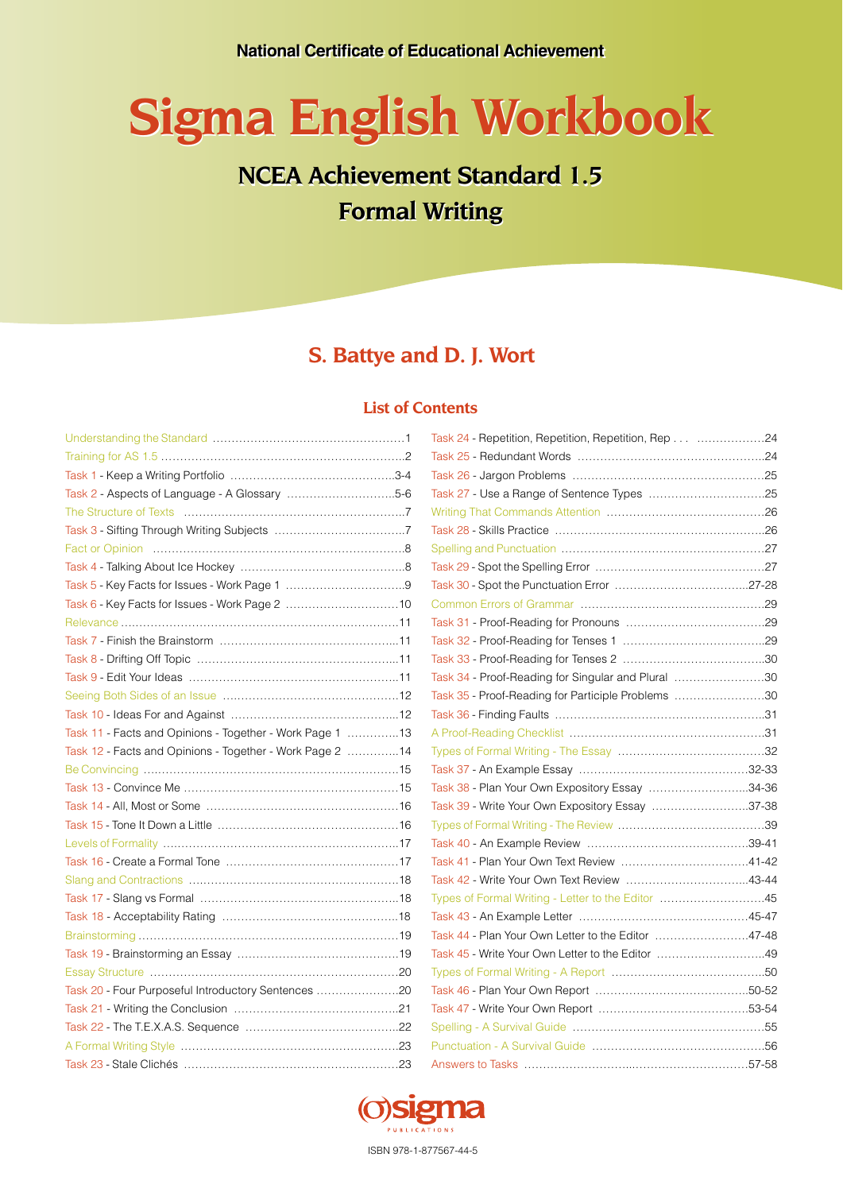# **Sigma English Workbook Sigma English Workbook**

### **NCEA Achievement Standard 1.5 NCEA Achievement Standard 1.5 Formal Writing Formal Writing**

### **S. Battye and D. J. Wort**

### **List of Contents**

| Task 2 - Aspects of Language - A Glossary 5-6            |
|----------------------------------------------------------|
|                                                          |
|                                                          |
|                                                          |
|                                                          |
|                                                          |
|                                                          |
|                                                          |
|                                                          |
|                                                          |
|                                                          |
|                                                          |
|                                                          |
| Task 11 - Facts and Opinions - Together - Work Page 1 13 |
| Task 12 - Facts and Opinions - Together - Work Page 2 14 |
|                                                          |
|                                                          |
|                                                          |
|                                                          |
|                                                          |
|                                                          |
|                                                          |
|                                                          |
|                                                          |
|                                                          |
|                                                          |
|                                                          |
| Task 20 - Four Purposeful Introductory Sentences 20      |
|                                                          |
|                                                          |
|                                                          |
|                                                          |

| Task 34 - Proof-Reading for Singular and Plural 30 |  |
|----------------------------------------------------|--|
| Task 35 - Proof-Reading for Participle Problems 30 |  |
|                                                    |  |
|                                                    |  |
|                                                    |  |
|                                                    |  |
| Task 38 - Plan Your Own Expository Essay 34-36     |  |
| Task 39 - Write Your Own Expository Essay 37-38    |  |
|                                                    |  |
|                                                    |  |
|                                                    |  |
|                                                    |  |
| Types of Formal Writing - Letter to the Editor 45  |  |
|                                                    |  |
| Task 44 - Plan Your Own Letter to the Editor 47-48 |  |
| Task 45 - Write Your Own Letter to the Editor 49   |  |
|                                                    |  |
|                                                    |  |
|                                                    |  |
|                                                    |  |
|                                                    |  |
|                                                    |  |



ISBN 978-1-877567-44-5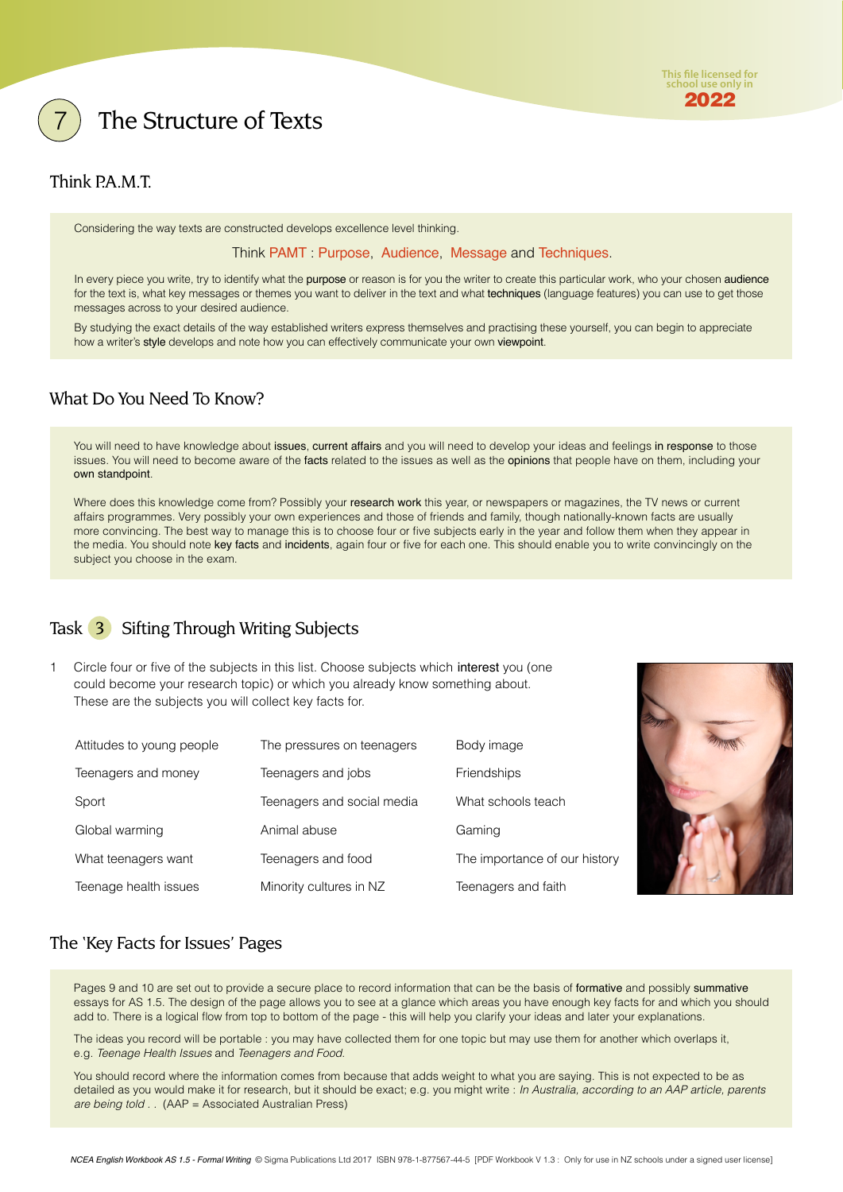

### <span id="page-1-0"></span>The Structure of Texts

#### Think PA M T

Considering the way texts are constructed develops excellence level thinking.

Think PAMT : Purpose, Audience, Message and Techniques.

In every piece you write, try to identify what the purpose or reason is for you the writer to create this particular work, who your chosen audience for the text is, what key messages or themes you want to deliver in the text and what techniques (language features) you can use to get those messages across to your desired audience.

By studying the exact details of the way established writers express themselves and practising these yourself, you can begin to appreciate how a writer's style develops and note how you can effectively communicate your own viewpoint.

#### What Do You Need To Know?

You will need to have knowledge about issues, current affairs and you will need to develop your ideas and feelings in response to those issues. You will need to become aware of the facts related to the issues as well as the opinions that people have on them, including your own standpoint.

Where does this knowledge come from? Possibly your research work this year, or newspapers or magazines, the TV news or current affairs programmes. Very possibly your own experiences and those of friends and family, though nationally-known facts are usually more convincing. The best way to manage this is to choose four or five subjects early in the year and follow them when they appear in the media. You should note key facts and incidents, again four or five for each one. This should enable you to write convincingly on the subject you choose in the exam.

### Task 3 Sifting Through Writing Subjects

1 Circle four or five of the subjects in this list. Choose subjects which interest you (one could become your research topic) or which you already know something about. These are the subjects you will collect key facts for.

| Attitudes to young people | The pressures on teenagers | Body image                    |
|---------------------------|----------------------------|-------------------------------|
| Teenagers and money       | Teenagers and jobs         | Friendships                   |
| Sport                     | Teenagers and social media | What schools teach            |
| Global warming            | Animal abuse               | Gaming                        |
| What teenagers want       | Teenagers and food         | The importance of our history |
| Teenage health issues     | Minority cultures in NZ    | Teenagers and faith           |



#### The 'Key Facts for Issues' Pages

Pages 9 and 10 are set out to provide a secure place to record information that can be the basis of formative and possibly summative essays for AS 1.5. The design of the page allows you to see at a glance which areas you have enough key facts for and which you should add to. There is a logical flow from top to bottom of the page - this will help you clarify your ideas and later your explanations.

The ideas you record will be portable : you may have collected them for one topic but may use them for another which overlaps it, e.g. *Teenage Health Issues* and *Teenagers and Food*.

are being told . . (AAP = Associated Australian Press) and the control of the control of the control of the control of the control of the control of the control of the control of the control of the control of the control o You should record where the information comes from because that adds weight to what you are saying. This is not expected to be as detailed as you would make it for research, but it should be exact; e.g. you might write : *In Australia, according to an AAP article, parents*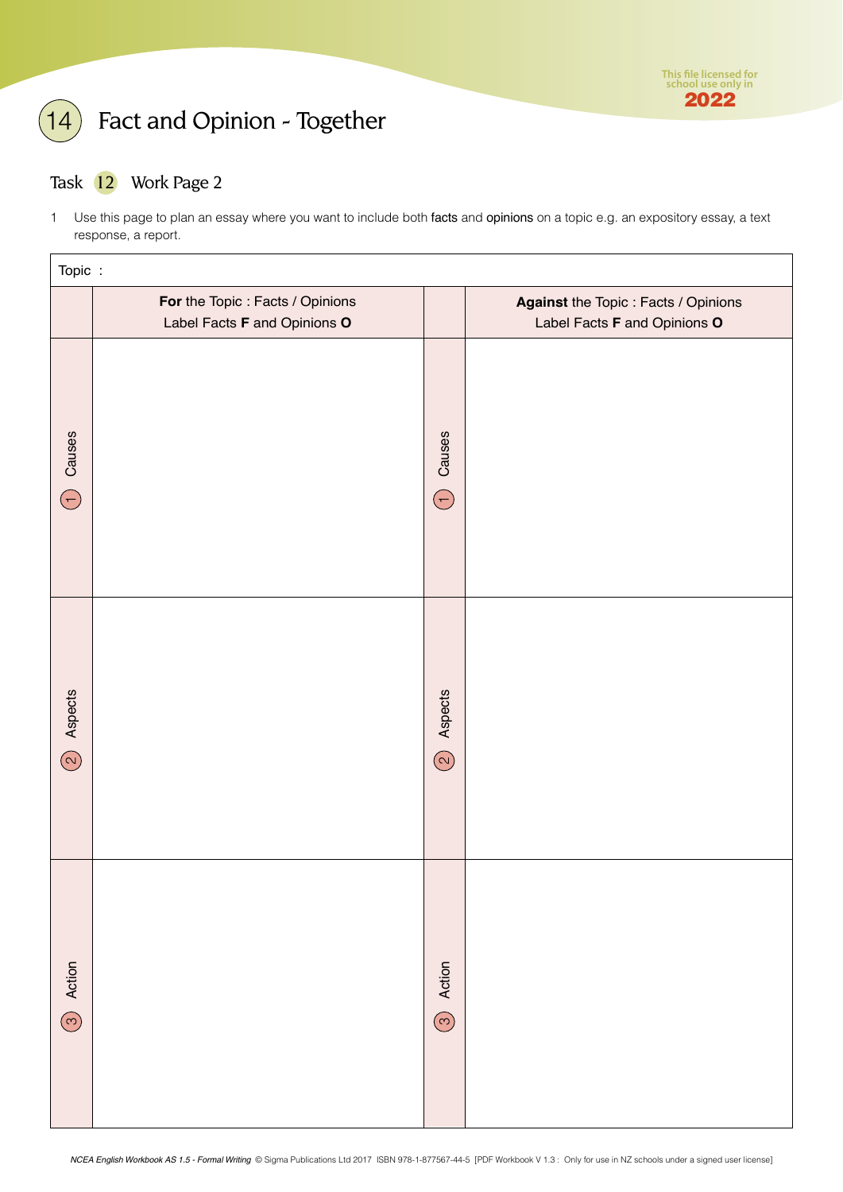

## <span id="page-2-0"></span> $\left(14\right)$  Fact and Opinion - Together

### Task 12 Work Page 2

1 Use this page to plan an essay where you want to include both facts and opinions on a topic e.g. an expository essay, a text response, a report.

| Topic :              |                                  |                       |                                     |
|----------------------|----------------------------------|-----------------------|-------------------------------------|
|                      | For the Topic : Facts / Opinions |                       | Against the Topic: Facts / Opinions |
|                      | Label Facts F and Opinions O     |                       | Label Facts F and Opinions O        |
| $\bigcirc$ Causes    |                                  | Causes<br>$\bigodot$  |                                     |
| $(2)$ Aspects        |                                  | Aspects<br>$\bigodot$ |                                     |
| $\circled{3}$ Action |                                  | Action<br>$\odot$     |                                     |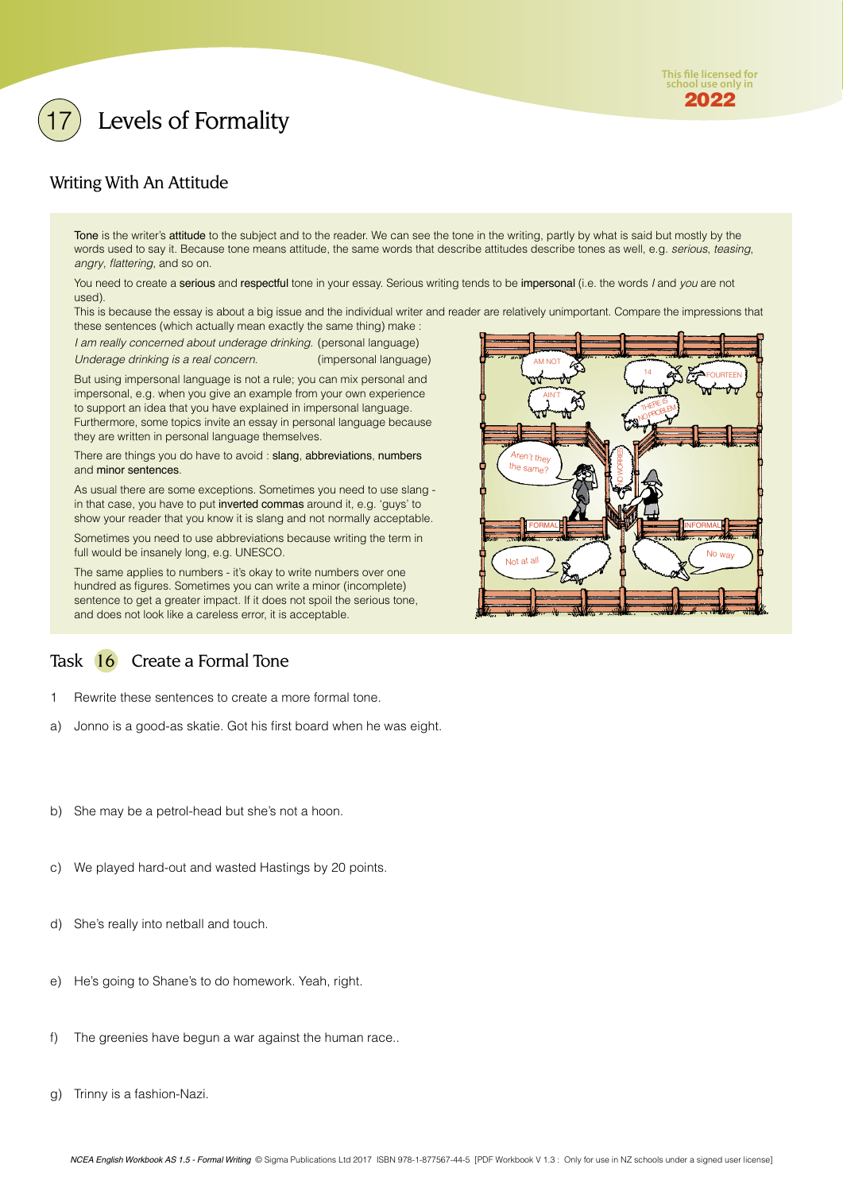<span id="page-3-0"></span>



### Writing With An Attitude

Tone is the writer's attitude to the subject and to the reader. We can see the tone in the writing, partly by what is said but mostly by the words used to say it. Because tone means attitude, the same words that describe attitudes describe tones as well, e.g. *serious*, *teasing*, *angry*, *flattering*, and so on.

You need to create a serious and respectful tone in your essay. Serious writing tends to be impersonal (i.e. the words *I* and *you* are not used).

This is because the essay is about a big issue and the individual writer and reader are relatively unimportant. Compare the impressions that these sentences (which actually mean exactly the same thing) make :

*I am really concerned about underage drinking.* (personal language) *Underage drinking is a real concern.* (impersonal language)

But using impersonal language is not a rule; you can mix personal and impersonal, e.g. when you give an example from your own experience to support an idea that you have explained in impersonal language. Furthermore, some topics invite an essay in personal language because they are written in personal language themselves.

There are things you do have to avoid : slang, abbreviations, numbers and minor sentences.

As usual there are some exceptions. Sometimes you need to use slang in that case, you have to put inverted commas around it, e.g. 'guys' to show your reader that you know it is slang and not normally acceptable.

Sometimes you need to use abbreviations because writing the term in full would be insanely long, e.g. UNESCO.

The same applies to numbers - it's okay to write numbers over one hundred as figures. Sometimes you can write a minor (incomplete) sentence to get a greater impact. If it does not spoil the serious tone, and does not look like a careless error, it is acceptable.

#### Task 16 Create a Formal Tone

- 1 Rewrite these sentences to create a more formal tone.
- a) Jonno is a good-as skatie. Got his first board when he was eight.
- b) She may be a petrol-head but she's not a hoon.
- c) We played hard-out and wasted Hastings by 20 points.
- d) She's really into netball and touch.
- e) He's going to Shane's to do homework. Yeah, right.
- f) The greenies have begun a war against the human race..
- g) Trinny is a fashion-Nazi.

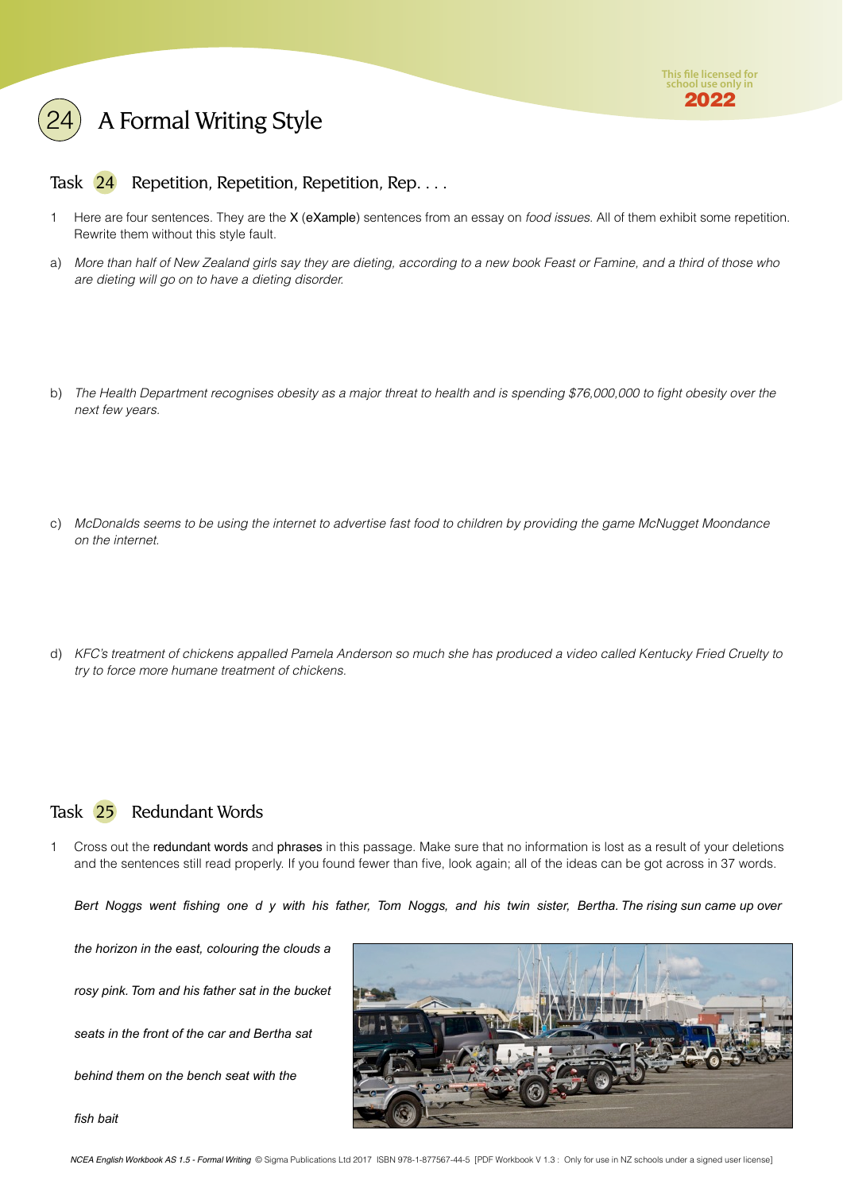

### <span id="page-4-0"></span>A Formal Writing Style

- Task 24 Repetition, Repetition, Repetition, Rep. . . .
- 1 Here are four sentences. They are the X (eXample) sentences from an essay on *food issues*. All of them exhibit some repetition. Rewrite them without this style fault.
- a) *More than half of New Zealand girls say they are dieting, according to a new book Feast or Famine, and a third of those who are dieting will go on to have a dieting disorder.*
- b) *The Health Department recognises obesity as a major threat to health and is spending \$76,000,000 to fight obesity over the next few years.*
- c) *McDonalds seems to be using the internet to advertise fast food to children by providing the game McNugget Moondance on the internet.*
- d) *KFC's treatment of chickens appalled Pamela Anderson so much she has produced a video called Kentucky Fried Cruelty to try to force more humane treatment of chickens.*

### Task 25 Redundant Words

Cross out the redundant words and phrases in this passage. Make sure that no information is lost as a result of your deletions and the sentences still read properly. If you found fewer than five, look again; all of the ideas can be got across in 37 words.

*Bert Noggs went fishing one d y with his father, Tom Noggs, and his twin sister, Bertha. The rising sun came up over* 

*the horizon in the east, colouring the clouds a* 

*rosy pink. Tom and his father sat in the bucket* 

*seats in the front of the car and Bertha sat* 

*behind them on the bench seat with the* 

*fish bait*

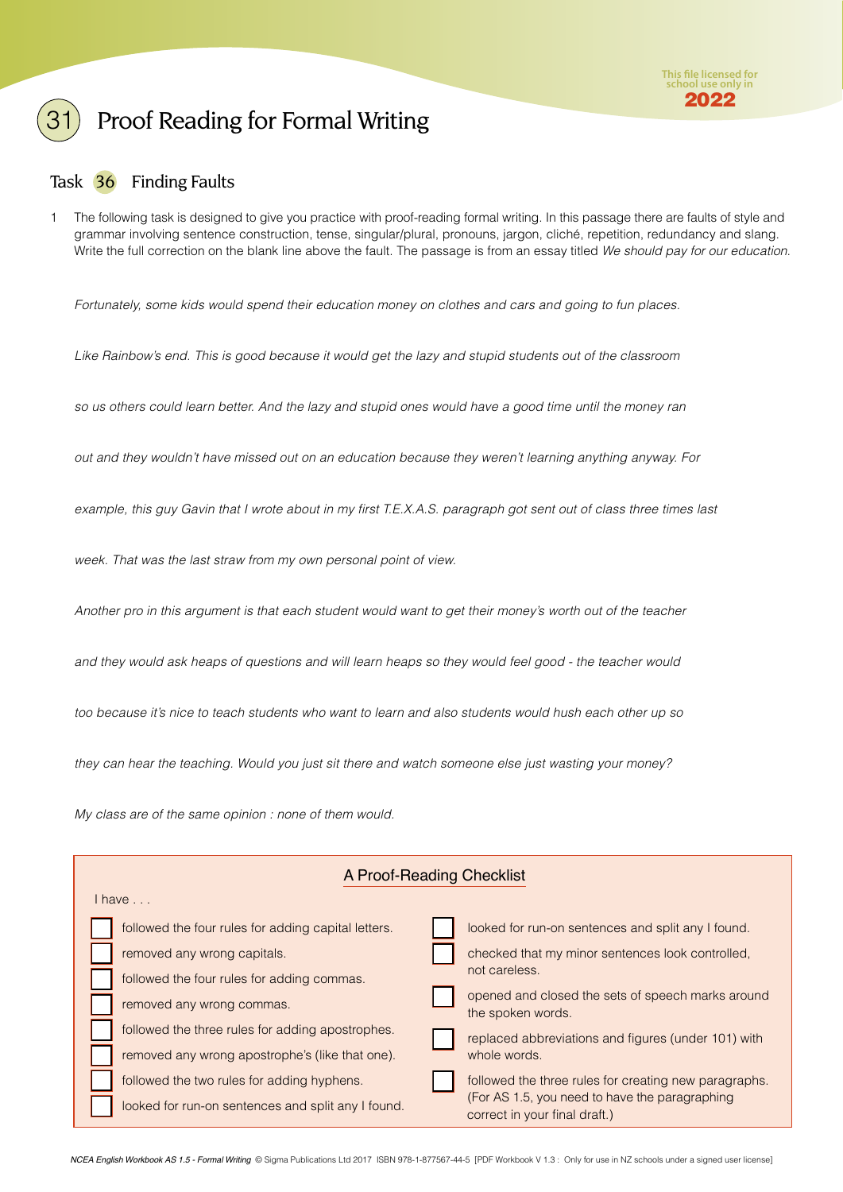### <span id="page-5-0"></span>Proof Reading for Formal Writing

### Task 36 Finding Faults

1 The following task is designed to give you practice with proof-reading formal writing. In this passage there are faults of style and grammar involving sentence construction, tense, singular/plural, pronouns, jargon, cliché, repetition, redundancy and slang. Write the full correction on the blank line above the fault. The passage is from an essay titled *We should pay for our education*.

*Fortunately, some kids would spend their education money on clothes and cars and going to fun places.* 

*Like Rainbow's end. This is good because it would get the lazy and stupid students out of the classroom* 

*so us others could learn better. And the lazy and stupid ones would have a good time until the money ran* 

*out and they wouldn't have missed out on an education because they weren't learning anything anyway. For* 

*example, this guy Gavin that I wrote about in my first T.E.X.A.S. paragraph got sent out of class three times last* 

*week. That was the last straw from my own personal point of view.* 

*Another pro in this argument is that each student would want to get their money's worth out of the teacher* 

*and they would ask heaps of questions and will learn heaps so they would feel good - the teacher would* 

*too because it's nice to teach students who want to learn and also students would hush each other up so* 

*they can hear the teaching. Would you just sit there and watch someone else just wasting your money?* 

*My class are of the same opinion : none of them would.*

| A Proof-Reading Checklist |                                                     |                               |                                                                        |  |  |
|---------------------------|-----------------------------------------------------|-------------------------------|------------------------------------------------------------------------|--|--|
| $l$ have $\ldots$         |                                                     |                               |                                                                        |  |  |
|                           | followed the four rules for adding capital letters. |                               | looked for run-on sentences and split any I found.                     |  |  |
|                           | removed any wrong capitals.                         |                               | checked that my minor sentences look controlled,                       |  |  |
|                           | followed the four rules for adding commas.          |                               | not careless.                                                          |  |  |
|                           | removed any wrong commas.                           |                               | opened and closed the sets of speech marks around<br>the spoken words. |  |  |
|                           | followed the three rules for adding apostrophes.    |                               | replaced abbreviations and figures (under 101) with                    |  |  |
|                           | removed any wrong apostrophe's (like that one).     |                               | whole words.                                                           |  |  |
|                           | followed the two rules for adding hyphens.          |                               | followed the three rules for creating new paragraphs.                  |  |  |
|                           | looked for run-on sentences and split any I found.  | correct in your final draft.) | (For AS 1.5, you need to have the paragraphing                         |  |  |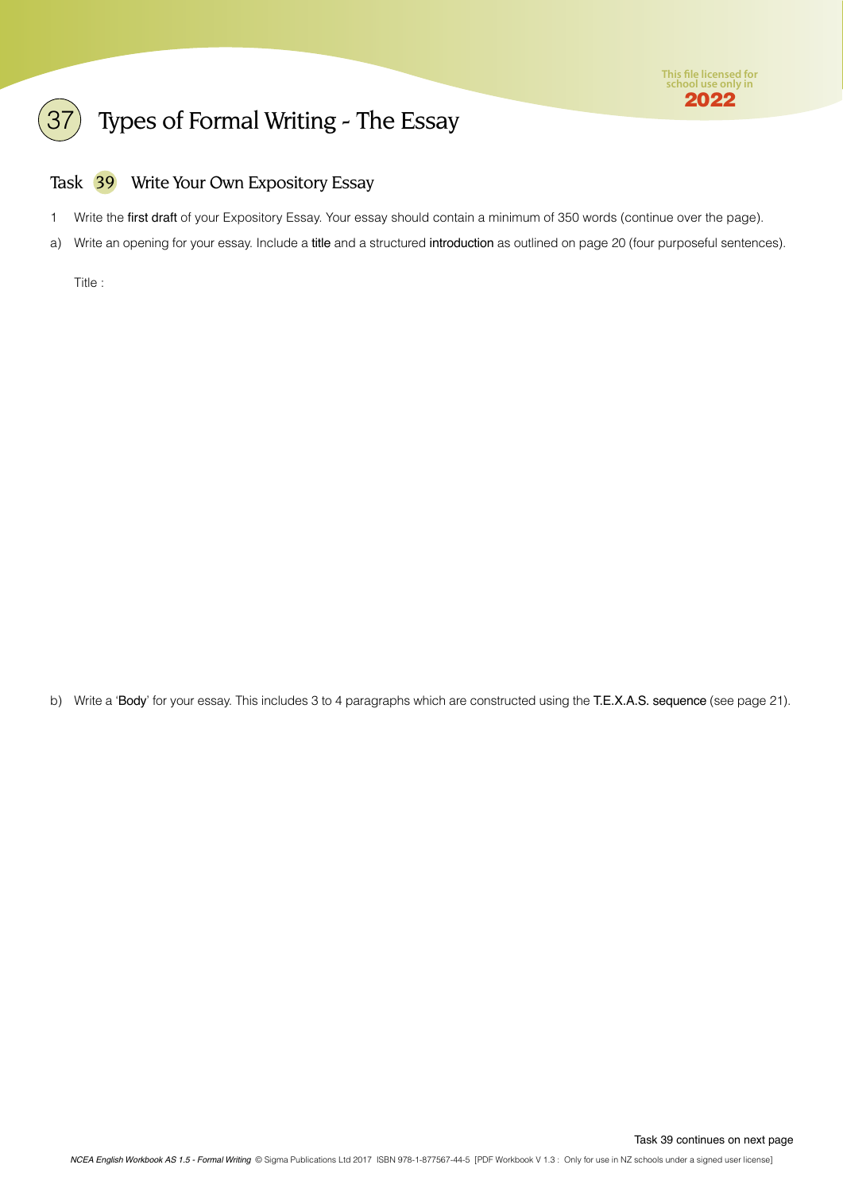

### <span id="page-6-0"></span>Types of Formal Writing - The Essay

#### Task 39 Write Your Own Expository Essay

- 1 Write the first draft of your Expository Essay. Your essay should contain a minimum of 350 words (continue over the page).
- a) Write an opening for your essay. Include a title and a structured introduction as outlined on page 20 (four purposeful sentences).

Title :

b) Write a 'Body' for your essay. This includes 3 to 4 paragraphs which are constructed using the T.E.X.A.S. sequence (see page 21).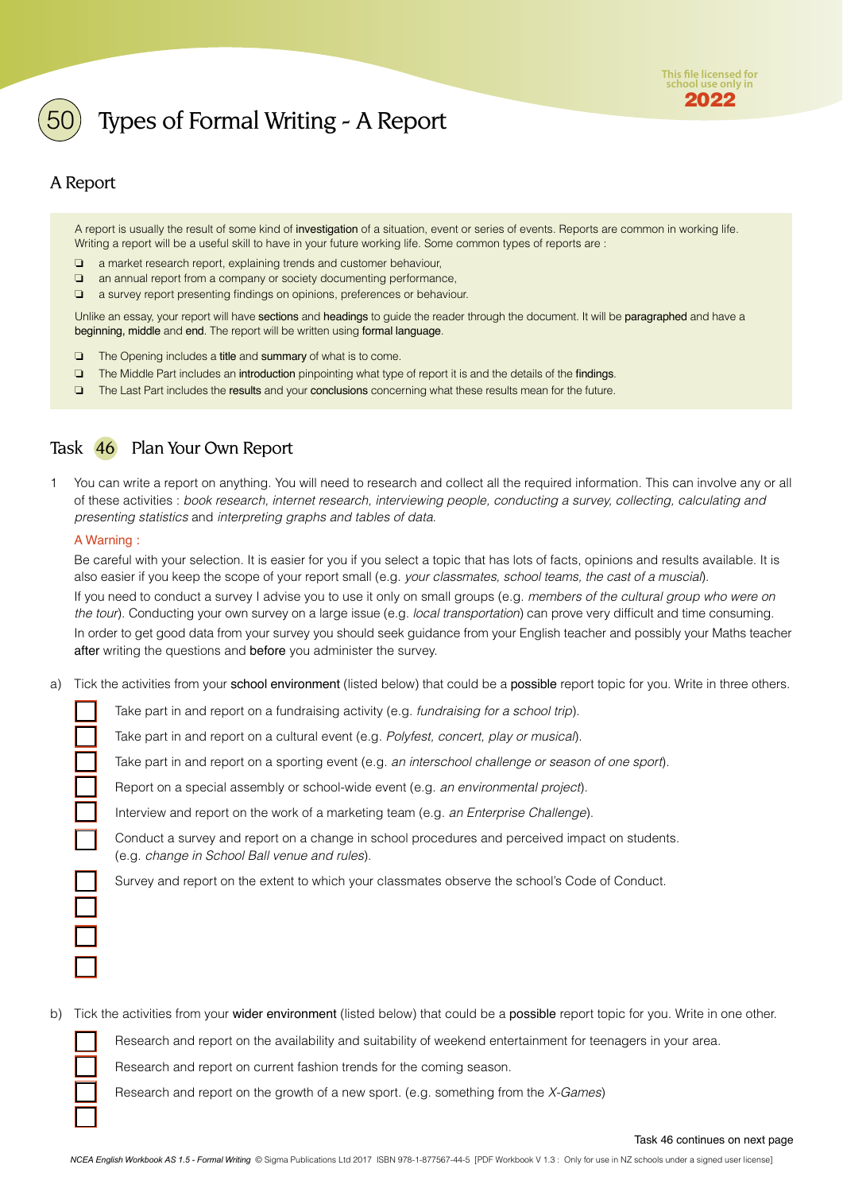

### <span id="page-7-0"></span>Types of Formal Writing - A Report

### A Report

A report is usually the result of some kind of investigation of a situation, event or series of events. Reports are common in working life. Writing a report will be a useful skill to have in your future working life. Some common types of reports are :

- ❏ a market research report, explaining trends and customer behaviour,
- ❏ an annual report from a company or society documenting performance,
- ❏ a survey report presenting findings on opinions, preferences or behaviour.

Unlike an essay, your report will have sections and headings to guide the reader through the document. It will be paragraphed and have a beginning, middle and end. The report will be written using formal language.

- ❏ The Opening includes a title and summary of what is to come.
- ❏ The Middle Part includes an introduction pinpointing what type of report it is and the details of the findings.
- ❏ The Last Part includes the results and your conclusions concerning what these results mean for the future.

### Task 46 Plan Your Own Report

1 You can write a report on anything. You will need to research and collect all the required information. This can involve any or all of these activities : *book research, internet research, interviewing people, conducting a survey, collecting, calculating and presenting statistics* and *interpreting graphs and tables of data*.

#### A Warning :

Be careful with your selection. It is easier for you if you select a topic that has lots of facts, opinions and results available. It is also easier if you keep the scope of your report small (e.g. *your classmates, school teams, the cast of a muscial*). If you need to conduct a survey I advise you to use it only on small groups (e.g. *members of the cultural group who were on the tour*). Conducting your own survey on a large issue (e.g. *local transportation*) can prove very difficult and time consuming. In order to get good data from your survey you should seek guidance from your English teacher and possibly your Maths teacher after writing the questions and before you administer the survey.

a) Tick the activities from your school environment (listed below) that could be a possible report topic for you. Write in three others.

Take part in and report on a fundraising activity (e.g. *fundraising for a school trip*).

Take part in and report on a cultural event (e.g. *Polyfest, concert, play or musical*).

Take part in and report on a sporting event (e.g. *an interschool challenge or season of one sport*).

Report on a special assembly or school-wide event (e.g. *an environmental project*).

Interview and report on the work of a marketing team (e.g. *an Enterprise Challenge*).

Conduct a survey and report on a change in school procedures and perceived impact on students. (e.g. *change in School Ball venue and rules*).

Survey and report on the extent to which your classmates observe the school's Code of Conduct.

b) Tick the activities from your wider environment (listed below) that could be a possible report topic for you. Write in one other.

Research and report on the availability and suitability of weekend entertainment for teenagers in your area.

Research and report on current fashion trends for the coming season.

Research and report on the growth of a new sport. (e.g. something from the *X-Games*)